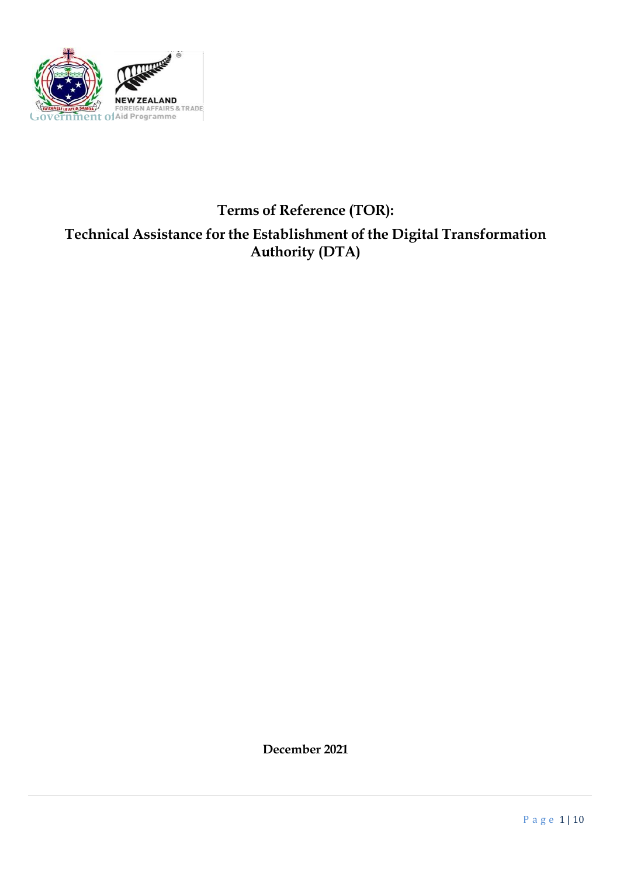

# **Terms of Reference (TOR): Technical Assistance for the Establishment ofthe Digital Transformation Authority (DTA)**

**December 2021**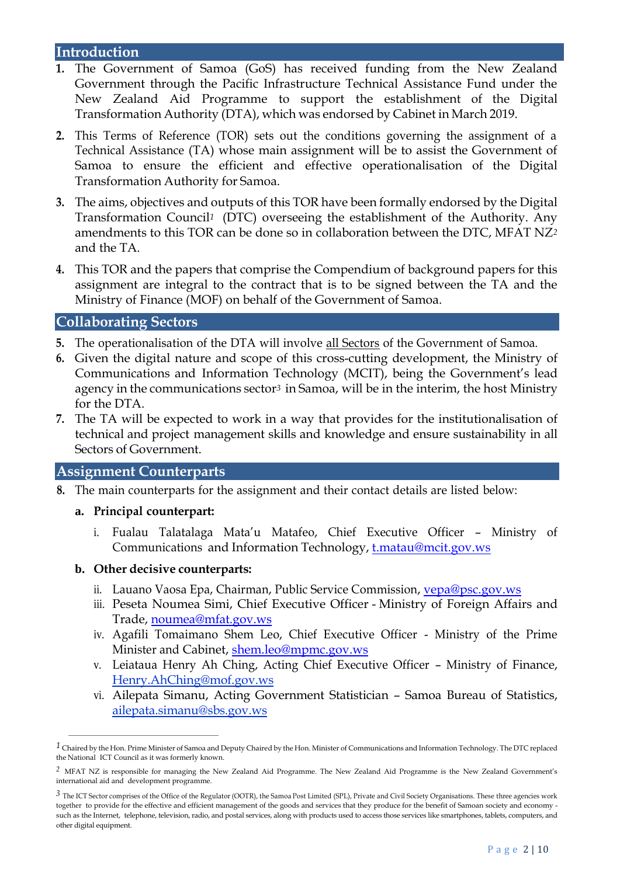### **Introduction**

- **1.** The Government of Samoa (GoS) has received funding from the New Zealand Government through the Pacific Infrastructure Technical Assistance Fund under the New Zealand Aid Programme to support the establishment of the Digital Transformation Authority (DTA), which was endorsed by Cabinet in March 2019.
- **2.** This Terms of Reference (TOR) sets out the conditions governing the assignment of a Technical Assistance (TA) whose main assignment will be to assist the Government of Samoa to ensure the efficient and effective operationalisation of the Digital Transformation Authority for Samoa.
- **3.** The aims, objectives and outputs of this TOR have been formally endorsed by the Digital Transformation Council*<sup>1</sup>* (DTC) overseeing the establishment of the Authority. Any amendments to this TOR can be done so in collaboration between the DTC, MFAT NZ*<sup>2</sup>* and the TA.
- **4.** This TOR and the papers that comprise the Compendium of background papers for this assignment are integral to the contract that is to be signed between the TA and the Ministry of Finance (MOF) on behalf of the Government of Samoa.

### **Collaborating Sectors**

- **5.** The operationalisation of the DTA will involve all Sectors of the Government of Samoa.
- **6.** Given the digital nature and scope of this cross-cutting development, the Ministry of Communications and Information Technology (MCIT), being the Government's lead agency in the communications sector*<sup>3</sup>* in Samoa, will be in the interim, the host Ministry for the DTA.
- **7.** The TA will be expected to work in a way that provides for the institutionalisation of technical and project management skills and knowledge and ensure sustainability in all Sectors of Government.

#### **Assignment Counterparts**

- **8.** The main counterparts for the assignment and their contact details are listed below:
	- **a. Principal counterpart:**
		- i. Fualau Talatalaga Mata'u Matafeo, Chief Executive Officer Ministry of Communications and Information Technology, [t.matau@mcit.gov.ws](mailto:t.matau@mcit.gov.ws)
	- **b. Other decisive counterparts:**
		- ii. Lauano Vaosa Epa, Chairman, Public Service Commission, [vepa@psc.gov.ws](mailto:vepa@psc.gov.ws)
		- iii. Peseta Noumea Simi, Chief Executive Officer Ministry of Foreign Affairs and Trade, [noumea@mfat.gov.ws](mailto:noumea@mfat.gov.ws)
		- iv. Agafili Tomaimano Shem Leo, Chief Executive Officer Ministry of the Prime Minister and Cabinet, [shem.leo@mpmc.gov.ws](mailto:shem.leo@mpmc.gov.ws)
		- v. Leiataua Henry Ah Ching, Acting Chief Executive Officer Ministry of Finance, Henry.AhChing@mof.gov.ws
		- vi. Ailepata Simanu, Acting Government Statistician Samoa Bureau of Statistics, ailepata.simanu@sbs.gov.ws

*<sup>1</sup>* Chaired by the Hon. Prime Minister of Samoa and Deputy Chaired by the Hon. Minister of Communications and Information Technology. The DTC replaced the National ICT Council as it was formerly known.

*<sup>2</sup>* MFAT NZ is responsible for managing the New Zealand Aid Programme. The New Zealand Aid Programme is the New Zealand Government's international aid and development programme.

*<sup>3</sup>* The ICT Sector comprises of the Office of the Regulator (OOTR), the Samoa Post Limited (SPL), Private and Civil Society Organisations. These three agencies work together to provide for the effective and efficient management of the goods and services that they produce for the benefit of Samoan society and economy such as the Internet, telephone, television, radio, and postal services, along with products used to access those services like smartphones, tablets, computers, and other digital equipment.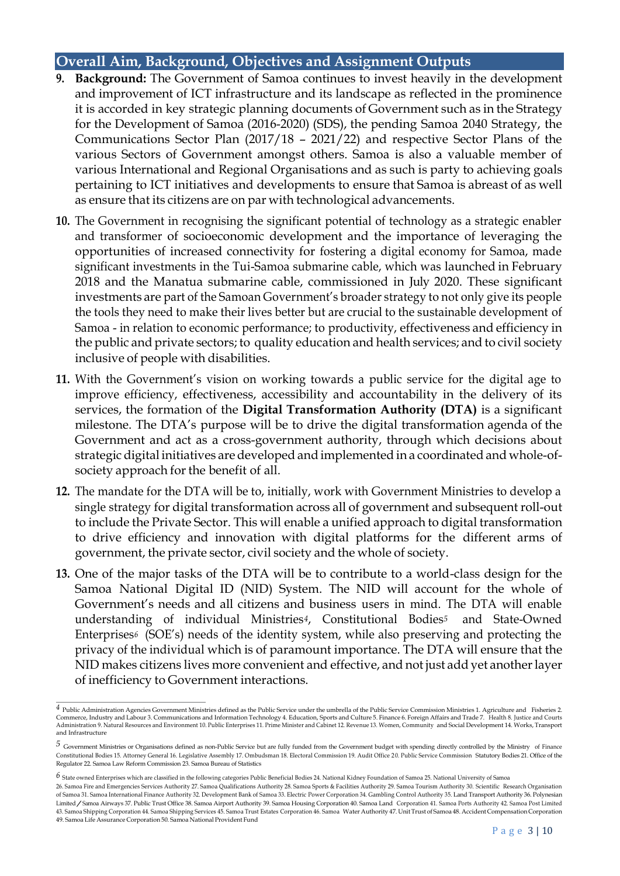### **Overall Aim, Background, Objectives and Assignment Outputs**

- **9. Background:** The Government of Samoa continues to invest heavily in the development and improvement of ICT infrastructure and its landscape as reflected in the prominence it is accorded in key strategic planning documents of Government such as in the Strategy for the Development of Samoa (2016-2020) (SDS), the pending Samoa 2040 Strategy, the Communications Sector Plan (2017/18 – 2021/22) and respective Sector Plans of the various Sectors of Government amongst others. Samoa is also a valuable member of various International and Regional Organisations and as such is party to achieving goals pertaining to ICT initiatives and developments to ensure that Samoa is abreast of as well as ensure that its citizens are on par with technological advancements.
- **10.** The Government in recognising the significant potential of technology as a strategic enabler and transformer of socioeconomic development and the importance of leveraging the opportunities of increased connectivity for fostering a digital economy for Samoa, made significant investments in the Tui-Samoa submarine cable, which was launched in February 2018 and the Manatua submarine cable, commissioned in July 2020. These significant investments are part of the Samoan Government's broader strategy to not only give its people the tools they need to make their lives better but are crucial to the sustainable development of Samoa - in relation to economic performance; to productivity, effectiveness and efficiency in the public and private sectors; to quality education and health services; and to civil society inclusive of people with disabilities.
- **11.** With the Government's vision on working towards a public service for the digital age to improve efficiency, effectiveness, accessibility and accountability in the delivery of its services, the formation of the **Digital Transformation Authority (DTA)** is a significant milestone. The DTA's purpose will be to drive the digital transformation agenda of the Government and act as a cross-government authority, through which decisions about strategic digital initiatives aredeveloped and implemented in a coordinated and whole-ofsociety approach for the benefit of all.
- **12.** The mandate for the DTA will be to, initially, work with Government Ministries to develop a single strategy for digital transformation across all of government and subsequent roll-out to include the Private Sector. This will enable a unified approach to digital transformation to drive efficiency and innovation with digital platforms for the different arms of government, the private sector, civil society and the whole of society.
- **13.** One of the major tasks of the DTA will be to contribute to a world-class design for the Samoa National Digital ID (NID) System. The NID will account for the whole of Government's needs and all citizens and business users in mind. The DTA will enable understanding of individual Ministries*4*, Constitutional Bodies*<sup>5</sup>* and State-Owned Enterprises*<sup>6</sup>* (SOE's) needs of the identity system, while also preserving and protecting the privacy of the individual which is of paramount importance. The DTA will ensure that the NID makes citizens lives more convenient and effective, and not just add yet anotherlayer of inefficiency to Government interactions.

*<sup>4</sup>* Public Administration Agencies Government Ministries defined as the Public Service under the umbrella of the Public Service Commission Ministries 1. Agriculture and Fisheries 2. Commerce, Industry and Labour 3. Communications and Information Technology 4. Education, Sports and Culture 5. Finance 6. Foreign Affairs and Trade 7. Health 8. Justice and Courts Administration 9. Natural Resources and Environment 10. Public Enterprises 11. Prime Minister and Cabinet 12. Revenue 13. Women, Community and Social Development 14. Works, Transport and Infrastructure

*<sup>5</sup>* Government Ministries or Organisations defined as non-Public Service but are fully funded from the Government budget with spending directly controlled by the Ministry of Finance Constitutional Bodies 15. Attorney General 16. Legislative Assembly 17. Ombudsman 18. Electoral Commission 19. Audit Office 2 0. Public Service Commission Statutory Bodies 21. Office of the Regulator 22. Samoa Law Reform Commission 23. Samoa Bureau of Statistics

*<sup>6</sup>* State owned Enterprises which are classified in the following categories Public Beneficial Bodies 24. National Kidney Foundation of Samoa 25. National University of Samoa

<sup>26.</sup> Samoa Fire and Emergencies Services Authority 27. Samoa Qualifications Authority 28. Samoa Sports & Facilities Authority 29. Samoa Tourism Authority 30. Scientific Research Organisation of Samoa 31. Samoa International Finance Authority 32. Development Bank of Samoa 33. Electric Power Corporation 34. Gambling Control Authority 35. Land Transport Authority 36. Polynesian Limited/Samoa Airways 37. Public Trust Office 38. Samoa Airport Authority 39. Samoa Housing Corporation 40. Samoa Land Corporation 41. Samoa Ports Authority 42. Samoa Post Limited 43. Samoa Shipping Corporation 44. Samoa Shipping Services 45. Samoa Trust Estates Corporation 46. Samoa Water Authority 47. UnitTrust of Samoa 48.AccidentCompensation Corporation 49. Samoa Life Assurance Corporation 50. Samoa National Provident Fund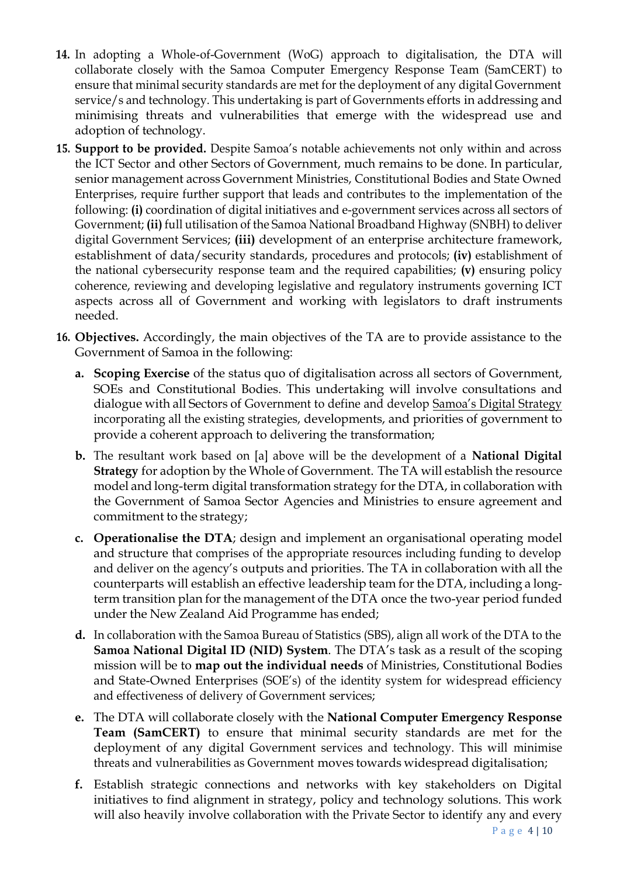- **14.** In adopting a Whole-of-Government (WoG) approach to digitalisation, the DTA will collaborate closely with the Samoa Computer Emergency Response Team (SamCERT) to ensure that minimal security standards are met for the deployment of any digital Government service/s and technology. This undertaking is part of Governments efforts in addressing and minimising threats and vulnerabilities that emerge with the widespread use and adoption of technology.
- **15. Support to be provided.** Despite Samoa's notable achievements not only within and across the ICT Sector and other Sectors of Government, much remains to be done. In particular, senior management across Government Ministries, Constitutional Bodies and State Owned Enterprises, require further support that leads and contributes to the implementation of the following: **(i)** coordination of digital initiatives and e-government services across all sectors of Government; **(ii)** full utilisation of the Samoa National Broadband Highway (SNBH) to deliver digital Government Services; **(iii)** development of an enterprise architecture framework, establishment of data/security standards, procedures and protocols; **(iv)** establishment of the national cybersecurity response team and the required capabilities; **(v)** ensuring policy coherence, reviewing and developing legislative and regulatory instruments governing ICT aspects across all of Government and working with legislators to draft instruments needed.
- **16. Objectives.** Accordingly, the main objectives of the TA are to provide assistance to the Government of Samoa in the following:
	- **a. Scoping Exercise** of the status quo of digitalisation across all sectors of Government, SOEs and Constitutional Bodies. This undertaking will involve consultations and dialogue with all Sectors of Government to define and develop Samoa's Digital Strategy incorporating all the existing strategies, developments, and priorities of government to provide a coherent approach to delivering the transformation;
	- **b.** The resultant work based on [a] above will be the development of a **National Digital Strategy** for adoption by the Whole of Government. The TA will establish the resource model and long-term digital transformation strategy for the DTA, in collaboration with the Government of Samoa Sector Agencies and Ministries to ensure agreement and commitment to the strategy;
	- **c. Operationalise the DTA**; design and implement an organisational operating model and structure that comprises of the appropriate resources including funding to develop and deliver on the agency's outputs and priorities. The TA in collaboration with all the counterparts will establish an effective leadership team for the DTA, including a longterm transition plan for the management of the DTA once the two-year period funded under the New Zealand Aid Programme has ended;
	- **d.** In collaboration with the Samoa Bureau of Statistics (SBS), align all work of the DTA to the **Samoa National Digital ID (NID) System**. The DTA's task as a result of the scoping mission will be to **map out the individual needs** of Ministries, Constitutional Bodies and State-Owned Enterprises (SOE's) of the identity system for widespread efficiency and effectiveness of delivery of Government services;
	- **e.** The DTA will collaborate closely with the **National Computer Emergency Response Team (SamCERT)** to ensure that minimal security standards are met for the deployment of any digital Government services and technology. This will minimise threats and vulnerabilities as Government moves towards widespread digitalisation;
	- **f.** Establish strategic connections and networks with key stakeholders on Digital initiatives to find alignment in strategy, policy and technology solutions. This work will also heavily involve collaboration with the Private Sector to identify any and every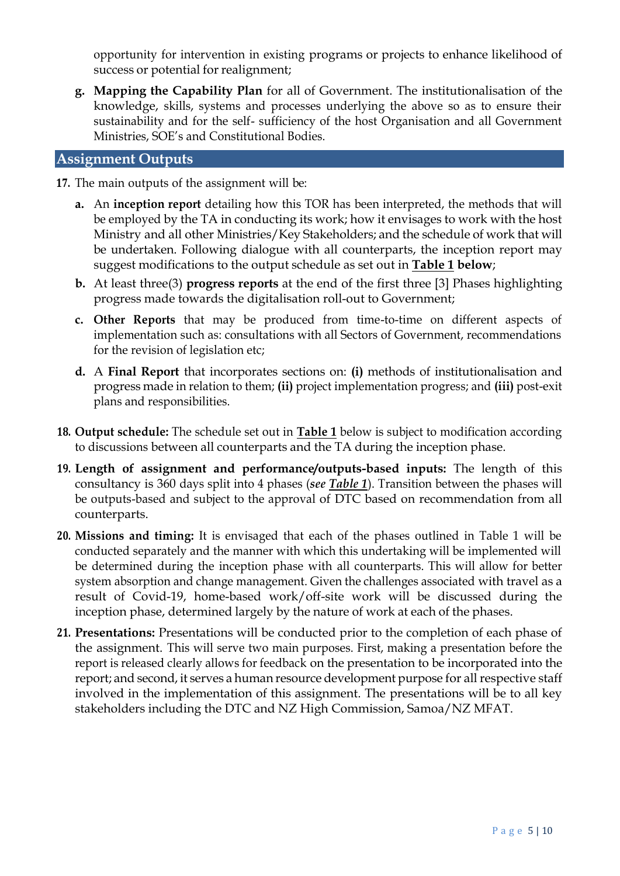opportunity for intervention in existing programs or projects to enhance likelihood of success or potential for realignment;

**g. Mapping the Capability Plan** for all of Government. The institutionalisation of the knowledge, skills, systems and processes underlying the above so as to ensure their sustainability and for the self- sufficiency of the host Organisation and all Government Ministries, SOE's and Constitutional Bodies.

### **Assignment Outputs**

- **17.** The main outputs of the assignment will be:
	- **a.** An **inception report** detailing how this TOR has been interpreted, the methods that will be employed by the TA in conducting its work; how it envisages to work with the host Ministry and all other Ministries/Key Stakeholders; and the schedule of work that will be undertaken. Following dialogue with all counterparts, the inception report may suggest modifications to the output schedule as set out in **Table 1 below**;
	- **b.** At least three(3) **progress reports** at the end of the first three [3] Phases highlighting progress made towards the digitalisation roll-out to Government;
	- **c. Other Reports** that may be produced from time-to-time on different aspects of implementation such as: consultations with all Sectors of Government, recommendations for the revision of legislation etc;
	- **d.** A **Final Report** that incorporates sections on: **(i)** methods of institutionalisation and progress made in relation to them; **(ii)** project implementation progress; and **(iii)** post-exit plans and responsibilities.
- **18. Output schedule:** The schedule set out in **Table 1** below is subject to modification according to discussions between all counterparts and the TA during the inception phase.
- **19. Length of assignment and performance/outputs-based inputs:** The length of this consultancy is 360 days split into 4 phases (*see Table 1*). Transition between the phases will be outputs-based and subject to the approval of DTC based on recommendation from all counterparts.
- **20. Missions and timing:** It is envisaged that each of the phases outlined in Table 1 will be conducted separately and the manner with which this undertaking will be implemented will be determined during the inception phase with all counterparts. This will allow for better system absorption and change management. Given the challenges associated with travel as a result of Covid-19, home-based work/off-site work will be discussed during the inception phase, determined largely by the nature of work at each of the phases.
- **21. Presentations:** Presentations will be conducted prior to the completion of each phase of the assignment. This will serve two main purposes. First, making a presentation before the report is released clearly allows for feedback on the presentation to be incorporated into the report; and second, it serves a human resource development purpose for all respective staff involved in the implementation of this assignment. The presentations will be to all key stakeholders including the DTC and NZ High Commission, Samoa/NZ MFAT.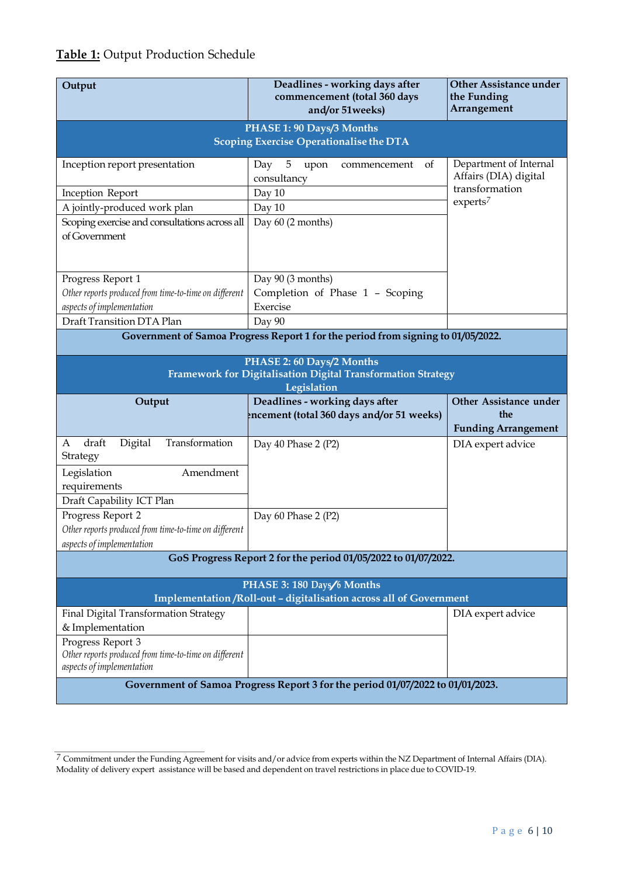# **Table 1:** Output Production Schedule

| Output                                                                                                   | Deadlines - working days after<br>commencement (total 360 days<br>and/or 51weeks) | <b>Other Assistance under</b><br>the Funding<br>Arrangement |  |
|----------------------------------------------------------------------------------------------------------|-----------------------------------------------------------------------------------|-------------------------------------------------------------|--|
| PHASE 1: 90 Days/3 Months<br>Scoping Exercise Operationalise the DTA                                     |                                                                                   |                                                             |  |
|                                                                                                          |                                                                                   |                                                             |  |
| Inception report presentation                                                                            | 5<br>Day<br>upon<br>of<br>commencement<br>consultancy                             | Department of Internal<br>Affairs (DIA) digital             |  |
| Inception Report                                                                                         | Day 10                                                                            | transformation<br>$experts^7$                               |  |
| A jointly-produced work plan                                                                             | Day 10                                                                            |                                                             |  |
| Scoping exercise and consultations across all<br>of Government                                           | Day 60 (2 months)                                                                 |                                                             |  |
| Progress Report 1                                                                                        | Day 90 (3 months)                                                                 |                                                             |  |
| Other reports produced from time-to-time on different                                                    | Completion of Phase 1 - Scoping                                                   |                                                             |  |
| aspects of implementation                                                                                | Exercise                                                                          |                                                             |  |
| Draft Transition DTA Plan                                                                                | Day 90                                                                            |                                                             |  |
| Government of Samoa Progress Report 1 for the period from signing to 01/05/2022.                         |                                                                                   |                                                             |  |
| PHASE 2: 60 Days/2 Months<br>Framework for Digitalisation Digital Transformation Strategy<br>Legislation |                                                                                   |                                                             |  |
|                                                                                                          |                                                                                   |                                                             |  |
| Output                                                                                                   | Deadlines - working days after<br>ncement (total 360 days and/or 51 weeks)        | Other Assistance under<br>the<br><b>Funding Arrangement</b> |  |
| Transformation<br>draft<br>Digital<br>A<br>Strategy                                                      | Day 40 Phase 2 (P2)                                                               | DIA expert advice                                           |  |
| Legislation<br>Amendment<br>requirements                                                                 |                                                                                   |                                                             |  |
| Draft Capability ICT Plan                                                                                |                                                                                   |                                                             |  |
| Progress Report 2<br>Other reports produced from time-to-time on different<br>aspects of implementation  | Day 60 Phase 2 (P2)                                                               |                                                             |  |
|                                                                                                          | GoS Progress Report 2 for the period 01/05/2022 to 01/07/2022.                    |                                                             |  |
|                                                                                                          | PHASE 3: 180 Days/6 Months                                                        |                                                             |  |
|                                                                                                          | Implementation /Roll-out - digitalisation across all of Government                |                                                             |  |
| Final Digital Transformation Strategy                                                                    |                                                                                   | DIA expert advice                                           |  |
| & Implementation                                                                                         |                                                                                   |                                                             |  |
| Progress Report 3<br>Other reports produced from time-to-time on different<br>aspects of implementation  |                                                                                   |                                                             |  |

*<sup>7</sup>* Commitment under the Funding Agreement for visits and/or advice from experts within the NZ Department of Internal Affairs (DIA). Modality of delivery expert assistance will be based and dependent on travel restrictions in place due to COVID-19.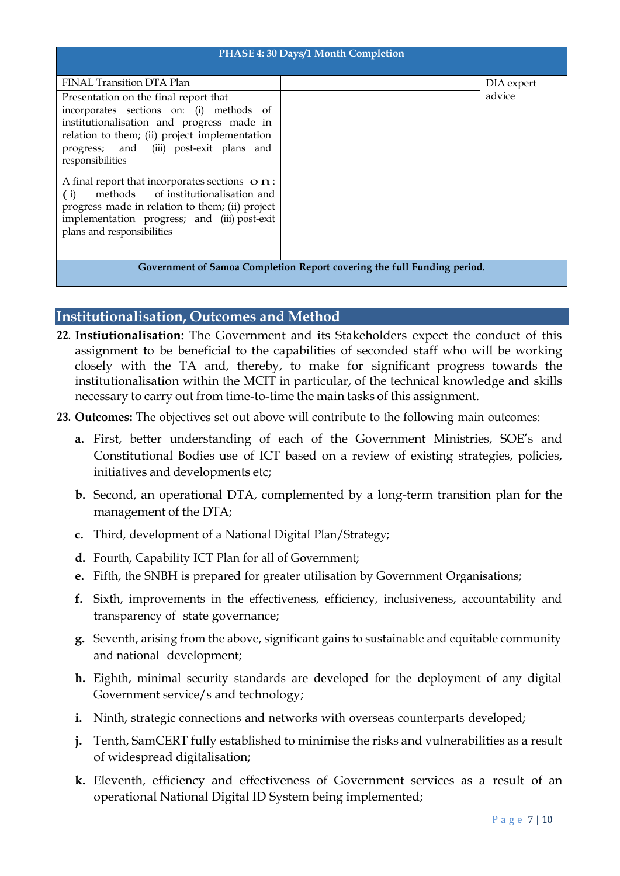| PHASE 4: 30 Days/1 Month Completion                                                                                                                                                                                                                                         |  |                      |  |
|-----------------------------------------------------------------------------------------------------------------------------------------------------------------------------------------------------------------------------------------------------------------------------|--|----------------------|--|
| FINAL Transition DTA Plan<br>Presentation on the final report that<br>incorporates sections on: (i) methods of<br>institutionalisation and progress made in<br>relation to them; (ii) project implementation<br>progress; and (iii) post-exit plans and<br>responsibilities |  | DIA expert<br>advice |  |
| A final report that incorporates sections $\mathbf{o} \mathbf{n}$ :<br>methods of institutionalisation and<br>(i)<br>progress made in relation to them; (ii) project<br>implementation progress; and (iii) post-exit<br>plans and responsibilities                          |  |                      |  |
| Government of Samoa Completion Report covering the full Funding period.                                                                                                                                                                                                     |  |                      |  |

### **Institutionalisation, Outcomes and Method**

- **22. Instiutionalisation:** The Government and its Stakeholders expect the conduct of this assignment to be beneficial to the capabilities of seconded staff who will be working closely with the TA and, thereby, to make for significant progress towards the institutionalisation within the MCIT in particular, of the technical knowledge and skills necessary to carry out from time-to-time the main tasks of this assignment.
- **23. Outcomes:** The objectives set out above will contribute to the following main outcomes:
	- **a.** First, better understanding of each of the Government Ministries, SOE's and Constitutional Bodies use of ICT based on a review of existing strategies, policies, initiatives and developments etc;
	- **b.** Second, an operational DTA, complemented by a long-term transition plan for the management of the DTA;
	- **c.** Third, development of a National Digital Plan/Strategy;
	- **d.** Fourth, Capability ICT Plan for all of Government;
	- **e.** Fifth, the SNBH is prepared for greater utilisation by Government Organisations;
	- **f.** Sixth, improvements in the effectiveness, efficiency, inclusiveness, accountability and transparency of state governance;
	- **g.** Seventh, arising from the above, significant gains to sustainable and equitable community and national development;
	- **h.** Eighth, minimal security standards are developed for the deployment of any digital Government service/s and technology;
	- **i.** Ninth, strategic connections and networks with overseas counterparts developed;
	- **j.** Tenth, SamCERT fully established to minimise the risks and vulnerabilities as a result of widespread digitalisation;
	- **k.** Eleventh, efficiency and effectiveness of Government services as a result of an operational National Digital ID System being implemented;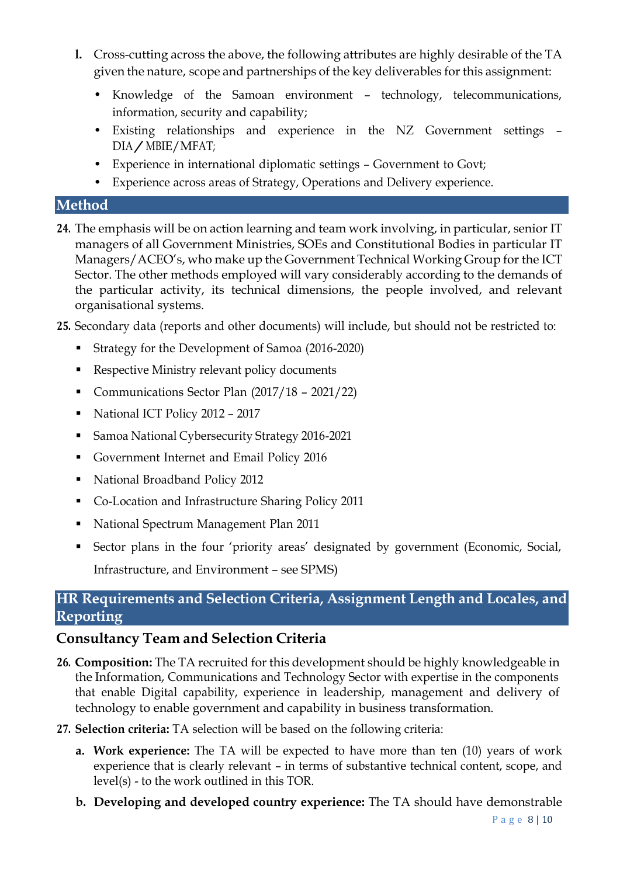- **l.** Cross-cutting across the above, the following attributes are highly desirable of the TA given the nature, scope and partnerships of the key deliverables for this assignment:
	- Knowledge of the Samoan environment technology, telecommunications, information, security and capability;
	- Existing relationships and experience in the NZ Government settings DIA/MBIE/MFAT;
	- Experience in international diplomatic settings Government to Govt;
	- Experience across areas of Strategy, Operations and Delivery experience.

### **Method**

- **24.** The emphasis will be on action learning and team work involving, in particular, senior IT managers of all Government Ministries, SOEs and Constitutional Bodies in particular IT Managers/ACEO's, who make up the Government Technical Working Group for the ICT Sector. The other methods employed will vary considerably according to the demands of the particular activity, its technical dimensions, the people involved, and relevant organisational systems.
- **25.** Secondary data (reports and other documents) will include, but should not be restricted to:
	- Strategy for the Development of Samoa (2016-2020)
	- Respective Ministry relevant policy documents
	- Communications Sector Plan (2017/18 2021/22)
	- National ICT Policy 2012 2017
	- Samoa National Cybersecurity Strategy 2016-2021
	- Government Internet and Email Policy 2016
	- National Broadband Policy 2012
	- Co-Location and Infrastructure Sharing Policy 2011
	- National Spectrum Management Plan 2011
	- Sector plans in the four 'priority areas' designated by government (Economic, Social, Infrastructure, and Environment – see SPMS)

# **HR Requirements and Selection Criteria, Assignment Length and Locales, and Reporting**

# **Consultancy Team and Selection Criteria**

- 26. **Composition:** The TA recruited for this development should be highly knowledgeable in the Information, Communications and Technology Sector with expertise in the components that enable Digital capability, experience in leadership, management and delivery of technology to enable government and capability in business transformation.
- **27. Selection criteria:** TA selection will be based on the following criteria:
	- **a. Work experience:** The TA will be expected to have more than ten (10) years of work experience that is clearly relevant – in terms of substantive technical content, scope, and level(s) - to the work outlined in this TOR.
	- **b. Developing and developed country experience:** The TA should have demonstrable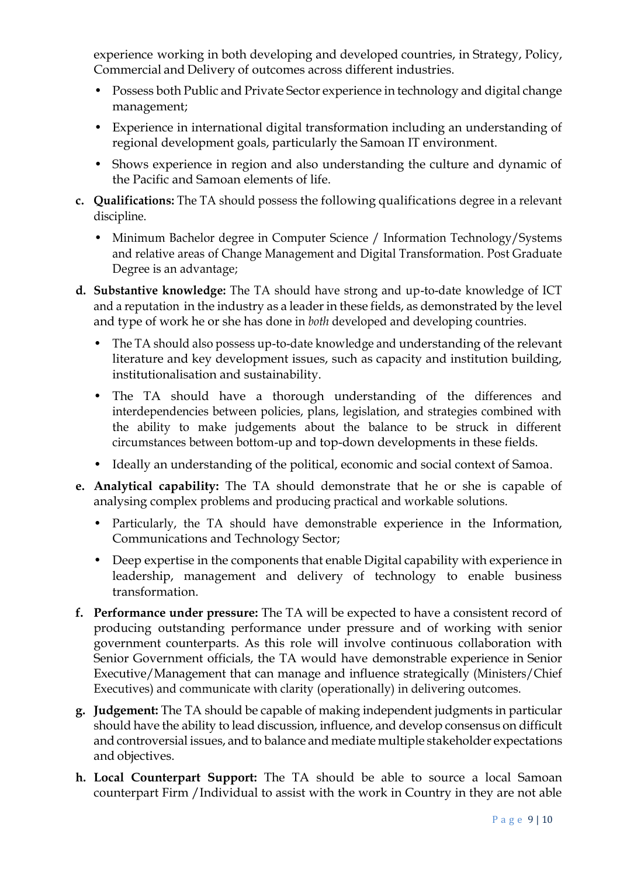experience working in both developing and developed countries, in Strategy, Policy, Commercial and Delivery of outcomes across different industries.

- Possess both Public and Private Sector experience in technology and digital change management;
- Experience in international digital transformation including an understanding of regional development goals, particularly the Samoan IT environment.
- Shows experience in region and also understanding the culture and dynamic of the Pacific and Samoan elements of life.
- **c. Qualifications:** The TA should possess the following qualifications degree in a relevant discipline.
	- Minimum Bachelor degree in Computer Science / Information Technology/Systems and relative areas of Change Management and Digital Transformation. Post Graduate Degree is an advantage;
- **d. Substantive knowledge:** The TA should have strong and up-to-date knowledge of ICT and a reputation in the industry as a leader in these fields, as demonstrated by the level and type of work he or she has done in *both* developed and developing countries.
	- The TA should also possess up-to-date knowledge and understanding of the relevant literature and key development issues, such as capacity and institution building, institutionalisation and sustainability.
	- The TA should have a thorough understanding of the differences and interdependencies between policies, plans, legislation, and strategies combined with the ability to make judgements about the balance to be struck in different circumstances between bottom-up and top-down developments in these fields.
	- Ideally an understanding of the political, economic and social context of Samoa.
- **e. Analytical capability:** The TA should demonstrate that he or she is capable of analysing complex problems and producing practical and workable solutions.
	- Particularly, the TA should have demonstrable experience in the Information, Communications and Technology Sector;
	- Deep expertise in the components that enable Digital capability with experience in leadership, management and delivery of technology to enable business transformation.
- **f. Performance under pressure:** The TA will be expected to have a consistent record of producing outstanding performance under pressure and of working with senior government counterparts. As this role will involve continuous collaboration with Senior Government officials, the TA would have demonstrable experience in Senior Executive/Management that can manage and influence strategically (Ministers/Chief Executives) and communicate with clarity (operationally) in delivering outcomes.
- **g. Judgement:** The TA should be capable of making independent judgments in particular should have the ability to lead discussion, influence, and develop consensus on difficult and controversial issues, and to balance and mediate multiple stakeholder expectations and objectives.
- **h. Local Counterpart Support:** The TA should be able to source a local Samoan counterpart Firm /Individual to assist with the work in Country in they are not able